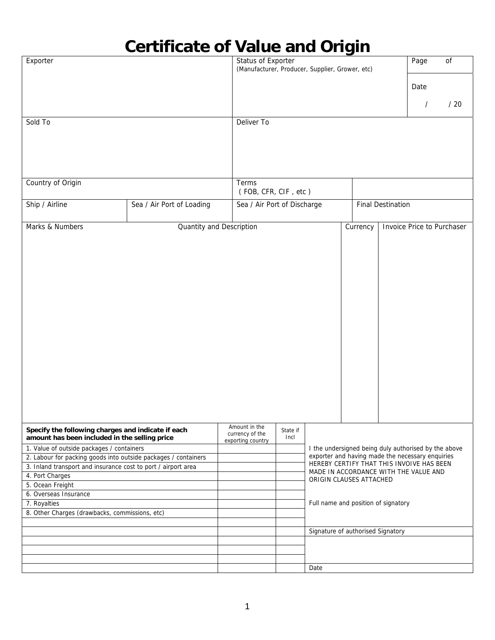## **Certificate of Value and Origin**

| Exporter                                                       |                          |                                      | Status of Exporter<br>(Manufacturer, Producer, Supplier, Grower, etc) |                                                                                                               |                                        |  |          | of  |  |
|----------------------------------------------------------------|--------------------------|--------------------------------------|-----------------------------------------------------------------------|---------------------------------------------------------------------------------------------------------------|----------------------------------------|--|----------|-----|--|
|                                                                |                          |                                      |                                                                       |                                                                                                               |                                        |  |          |     |  |
|                                                                |                          |                                      |                                                                       |                                                                                                               |                                        |  | Date     |     |  |
|                                                                |                          |                                      |                                                                       |                                                                                                               |                                        |  | $\prime$ | /20 |  |
| Sold To                                                        |                          | Deliver To                           |                                                                       |                                                                                                               |                                        |  |          |     |  |
|                                                                |                          |                                      |                                                                       |                                                                                                               |                                        |  |          |     |  |
|                                                                |                          |                                      |                                                                       |                                                                                                               |                                        |  |          |     |  |
|                                                                |                          |                                      |                                                                       |                                                                                                               |                                        |  |          |     |  |
|                                                                |                          |                                      |                                                                       |                                                                                                               |                                        |  |          |     |  |
|                                                                |                          |                                      |                                                                       |                                                                                                               |                                        |  |          |     |  |
| Country of Origin                                              | Terms                    | (FOB, CFR, CIF, etc)                 |                                                                       |                                                                                                               |                                        |  |          |     |  |
| Sea / Air Port of Loading                                      |                          |                                      |                                                                       |                                                                                                               |                                        |  |          |     |  |
| Ship / Airline                                                 |                          | Sea / Air Port of Discharge          |                                                                       |                                                                                                               | <b>Final Destination</b>               |  |          |     |  |
|                                                                |                          |                                      |                                                                       |                                                                                                               | Currency<br>Invoice Price to Purchaser |  |          |     |  |
| Marks & Numbers                                                | Quantity and Description |                                      |                                                                       |                                                                                                               |                                        |  |          |     |  |
|                                                                |                          |                                      |                                                                       |                                                                                                               |                                        |  |          |     |  |
|                                                                |                          |                                      |                                                                       |                                                                                                               |                                        |  |          |     |  |
|                                                                |                          |                                      |                                                                       |                                                                                                               |                                        |  |          |     |  |
|                                                                |                          |                                      |                                                                       |                                                                                                               |                                        |  |          |     |  |
|                                                                |                          |                                      |                                                                       |                                                                                                               |                                        |  |          |     |  |
|                                                                |                          |                                      |                                                                       |                                                                                                               |                                        |  |          |     |  |
|                                                                |                          |                                      |                                                                       |                                                                                                               |                                        |  |          |     |  |
|                                                                |                          |                                      |                                                                       |                                                                                                               |                                        |  |          |     |  |
|                                                                |                          |                                      |                                                                       |                                                                                                               |                                        |  |          |     |  |
|                                                                |                          |                                      |                                                                       |                                                                                                               |                                        |  |          |     |  |
|                                                                |                          |                                      |                                                                       |                                                                                                               |                                        |  |          |     |  |
|                                                                |                          |                                      |                                                                       |                                                                                                               |                                        |  |          |     |  |
|                                                                |                          |                                      |                                                                       |                                                                                                               |                                        |  |          |     |  |
|                                                                |                          |                                      |                                                                       |                                                                                                               |                                        |  |          |     |  |
|                                                                |                          |                                      |                                                                       |                                                                                                               |                                        |  |          |     |  |
|                                                                |                          |                                      |                                                                       |                                                                                                               |                                        |  |          |     |  |
|                                                                |                          |                                      |                                                                       |                                                                                                               |                                        |  |          |     |  |
|                                                                |                          |                                      |                                                                       |                                                                                                               |                                        |  |          |     |  |
| Specify the following charges and indicate if each             |                          | Amount in the                        | State if                                                              |                                                                                                               |                                        |  |          |     |  |
| amount has been included in the selling price                  |                          | currency of the<br>exporting country | Incl                                                                  |                                                                                                               |                                        |  |          |     |  |
| 1. Value of outside packages / containers                      |                          |                                      |                                                                       | I the undersigned being duly authorised by the above                                                          |                                        |  |          |     |  |
| 2. Labour for packing goods into outside packages / containers |                          |                                      | exporter and having made the necessary enquiries                      |                                                                                                               |                                        |  |          |     |  |
| 3. Inland transport and insurance cost to port / airport area  |                          |                                      |                                                                       | HEREBY CERTIFY THAT THIS INVOIVE HAS BEEN<br>MADE IN ACCORDANCE WITH THE VALUE AND<br>ORIGIN CLAUSES ATTACHED |                                        |  |          |     |  |
| 4. Port Charges                                                |                          |                                      |                                                                       |                                                                                                               |                                        |  |          |     |  |
| 5. Ocean Freight                                               |                          |                                      |                                                                       |                                                                                                               |                                        |  |          |     |  |
| 6. Overseas Insurance                                          |                          |                                      |                                                                       | Full name and position of signatory                                                                           |                                        |  |          |     |  |
| 7. Royalties<br>8. Other Charges (drawbacks, commissions, etc) |                          |                                      |                                                                       |                                                                                                               |                                        |  |          |     |  |
|                                                                |                          |                                      |                                                                       |                                                                                                               |                                        |  |          |     |  |
|                                                                |                          |                                      |                                                                       | Signature of authorised Signatory                                                                             |                                        |  |          |     |  |
|                                                                |                          |                                      |                                                                       |                                                                                                               |                                        |  |          |     |  |
|                                                                |                          |                                      |                                                                       |                                                                                                               |                                        |  |          |     |  |
|                                                                |                          |                                      |                                                                       |                                                                                                               |                                        |  |          |     |  |
|                                                                |                          |                                      |                                                                       | Date                                                                                                          |                                        |  |          |     |  |